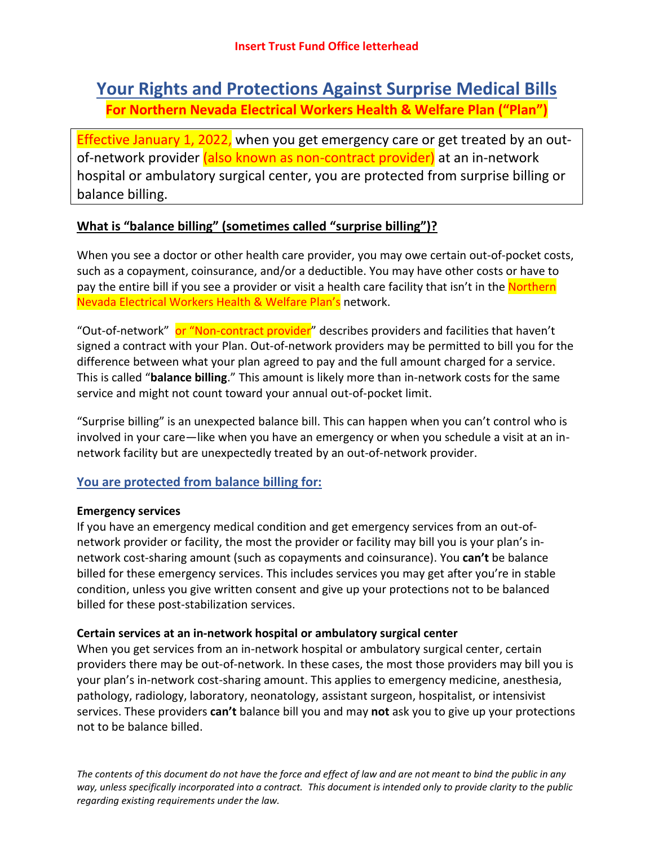# **Your Rights and Protections Against Surprise Medical Bills For Northern Nevada Electrical Workers Health & Welfare Plan ("Plan")**

Effective January 1, 2022, when you get emergency care or get treated by an outof-network provider (also known as non-contract provider) at an in-network hospital or ambulatory surgical center, you are protected from surprise billing or balance billing.

# **What is "balance billing" (sometimes called "surprise billing")?**

When you see a doctor or other health care provider, you may owe certain out-of-pocket costs, such as a copayment, coinsurance, and/or a deductible. You may have other costs or have to pay the entire bill if you see a provider or visit a health care facility that isn't in the Northern Nevada Electrical Workers Health & Welfare Plan's network.

"Out-of-network" or "Non-contract provider" describes providers and facilities that haven't signed a contract with your Plan. Out-of-network providers may be permitted to bill you for the difference between what your plan agreed to pay and the full amount charged for a service. This is called "**balance billing**." This amount is likely more than in-network costs for the same service and might not count toward your annual out-of-pocket limit.

"Surprise billing" is an unexpected balance bill. This can happen when you can't control who is involved in your care—like when you have an emergency or when you schedule a visit at an innetwork facility but are unexpectedly treated by an out-of-network provider.

## **You are protected from balance billing for:**

#### **Emergency services**

If you have an emergency medical condition and get emergency services from an out-ofnetwork provider or facility, the most the provider or facility may bill you is your plan's innetwork cost-sharing amount (such as copayments and coinsurance). You **can't** be balance billed for these emergency services. This includes services you may get after you're in stable condition, unless you give written consent and give up your protections not to be balanced billed for these post-stabilization services.

#### **Certain services at an in-network hospital or ambulatory surgical center**

When you get services from an in-network hospital or ambulatory surgical center, certain providers there may be out-of-network. In these cases, the most those providers may bill you is your plan's in-network cost-sharing amount. This applies to emergency medicine, anesthesia, pathology, radiology, laboratory, neonatology, assistant surgeon, hospitalist, or intensivist services. These providers **can't** balance bill you and may **not** ask you to give up your protections not to be balance billed.

*The contents of this document do not have the force and effect of law and are not meant to bind the public in any way, unless specifically incorporated into a contract. This document is intended only to provide clarity to the public regarding existing requirements under the law.*